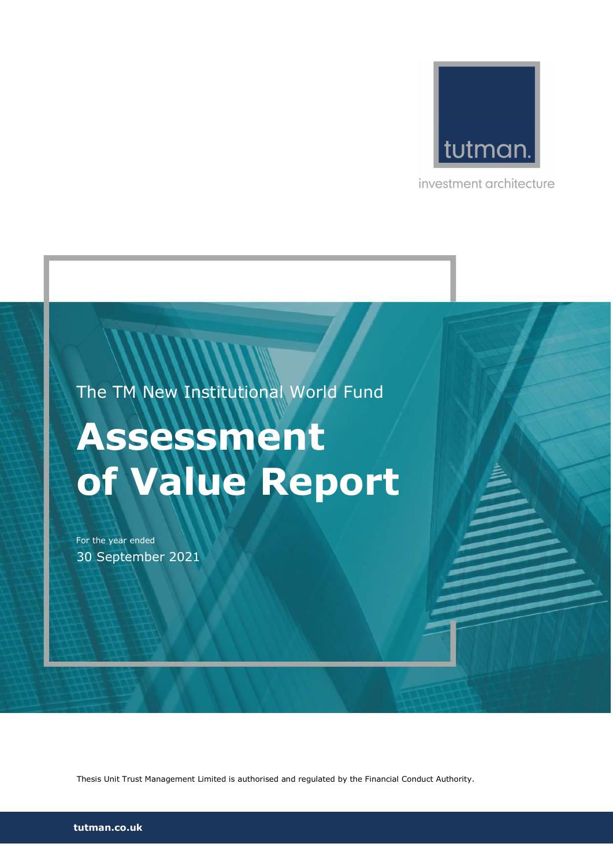

investment architecture

The TM New Institutional World Fund

# Assessment of Value Report

For the year ended 30 September 2021

Thesis Unit Trust Management Limited is authorised and regulated by the Financial Conduct Authority.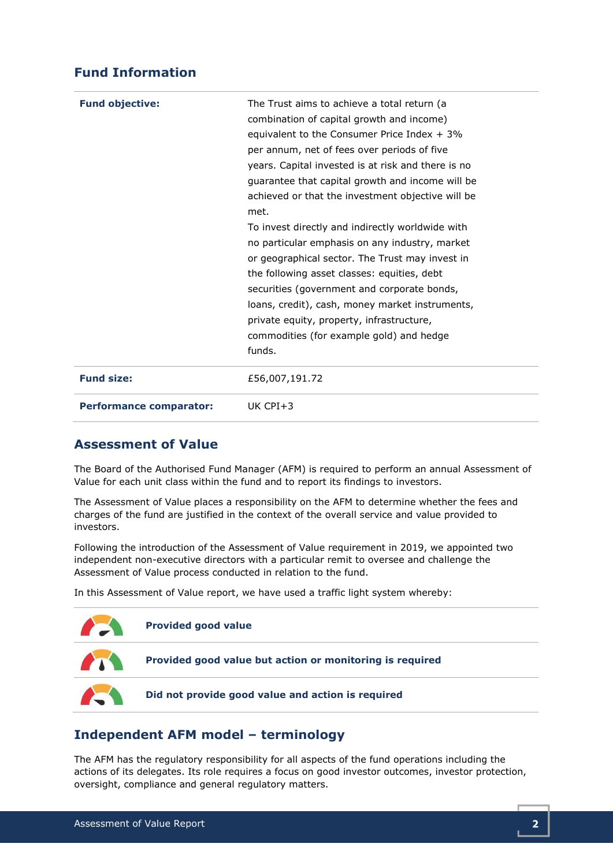### Fund Information

| <b>Fund objective:</b>         | The Trust aims to achieve a total return (a<br>combination of capital growth and income)<br>equivalent to the Consumer Price Index $+3\%$<br>per annum, net of fees over periods of five<br>years. Capital invested is at risk and there is no<br>guarantee that capital growth and income will be<br>achieved or that the investment objective will be<br>met.<br>To invest directly and indirectly worldwide with<br>no particular emphasis on any industry, market<br>or geographical sector. The Trust may invest in<br>the following asset classes: equities, debt<br>securities (government and corporate bonds,<br>loans, credit), cash, money market instruments,<br>private equity, property, infrastructure,<br>commodities (for example gold) and hedge<br>funds. |
|--------------------------------|------------------------------------------------------------------------------------------------------------------------------------------------------------------------------------------------------------------------------------------------------------------------------------------------------------------------------------------------------------------------------------------------------------------------------------------------------------------------------------------------------------------------------------------------------------------------------------------------------------------------------------------------------------------------------------------------------------------------------------------------------------------------------|
| <b>Fund size:</b>              | £56,007,191.72                                                                                                                                                                                                                                                                                                                                                                                                                                                                                                                                                                                                                                                                                                                                                               |
| <b>Performance comparator:</b> | UK $CPI + 3$                                                                                                                                                                                                                                                                                                                                                                                                                                                                                                                                                                                                                                                                                                                                                                 |

#### Assessment of Value

The Board of the Authorised Fund Manager (AFM) is required to perform an annual Assessment of Value for each unit class within the fund and to report its findings to investors.

The Assessment of Value places a responsibility on the AFM to determine whether the fees and charges of the fund are justified in the context of the overall service and value provided to investors.

Following the introduction of the Assessment of Value requirement in 2019, we appointed two independent non-executive directors with a particular remit to oversee and challenge the Assessment of Value process conducted in relation to the fund.

In this Assessment of Value report, we have used a traffic light system whereby:



## Independent AFM model – terminology

The AFM has the regulatory responsibility for all aspects of the fund operations including the actions of its delegates. Its role requires a focus on good investor outcomes, investor protection, oversight, compliance and general regulatory matters.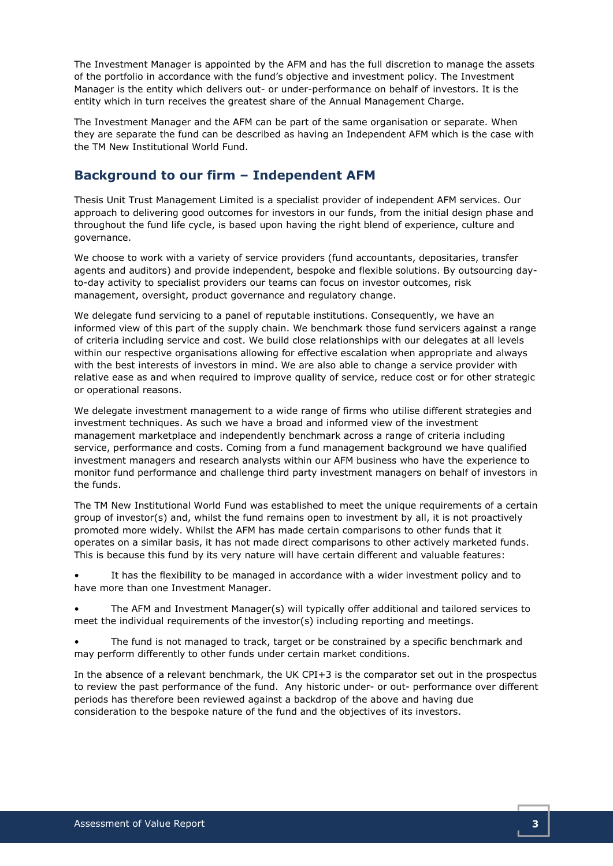The Investment Manager is appointed by the AFM and has the full discretion to manage the assets of the portfolio in accordance with the fund's objective and investment policy. The Investment Manager is the entity which delivers out- or under-performance on behalf of investors. It is the entity which in turn receives the greatest share of the Annual Management Charge.

The Investment Manager and the AFM can be part of the same organisation or separate. When they are separate the fund can be described as having an Independent AFM which is the case with the TM New Institutional World Fund.

### Background to our firm – Independent AFM

Thesis Unit Trust Management Limited is a specialist provider of independent AFM services. Our approach to delivering good outcomes for investors in our funds, from the initial design phase and throughout the fund life cycle, is based upon having the right blend of experience, culture and governance.

We choose to work with a variety of service providers (fund accountants, depositaries, transfer agents and auditors) and provide independent, bespoke and flexible solutions. By outsourcing dayto-day activity to specialist providers our teams can focus on investor outcomes, risk management, oversight, product governance and regulatory change.

We delegate fund servicing to a panel of reputable institutions. Consequently, we have an informed view of this part of the supply chain. We benchmark those fund servicers against a range of criteria including service and cost. We build close relationships with our delegates at all levels within our respective organisations allowing for effective escalation when appropriate and always with the best interests of investors in mind. We are also able to change a service provider with relative ease as and when required to improve quality of service, reduce cost or for other strategic or operational reasons.

We delegate investment management to a wide range of firms who utilise different strategies and investment techniques. As such we have a broad and informed view of the investment management marketplace and independently benchmark across a range of criteria including service, performance and costs. Coming from a fund management background we have qualified investment managers and research analysts within our AFM business who have the experience to monitor fund performance and challenge third party investment managers on behalf of investors in the funds.

The TM New Institutional World Fund was established to meet the unique requirements of a certain group of investor(s) and, whilst the fund remains open to investment by all, it is not proactively promoted more widely. Whilst the AFM has made certain comparisons to other funds that it operates on a similar basis, it has not made direct comparisons to other actively marketed funds. This is because this fund by its very nature will have certain different and valuable features:

It has the flexibility to be managed in accordance with a wider investment policy and to have more than one Investment Manager.

• The AFM and Investment Manager(s) will typically offer additional and tailored services to meet the individual requirements of the investor(s) including reporting and meetings.

The fund is not managed to track, target or be constrained by a specific benchmark and may perform differently to other funds under certain market conditions.

In the absence of a relevant benchmark, the UK CPI+3 is the comparator set out in the prospectus to review the past performance of the fund. Any historic under- or out- performance over different periods has therefore been reviewed against a backdrop of the above and having due consideration to the bespoke nature of the fund and the objectives of its investors.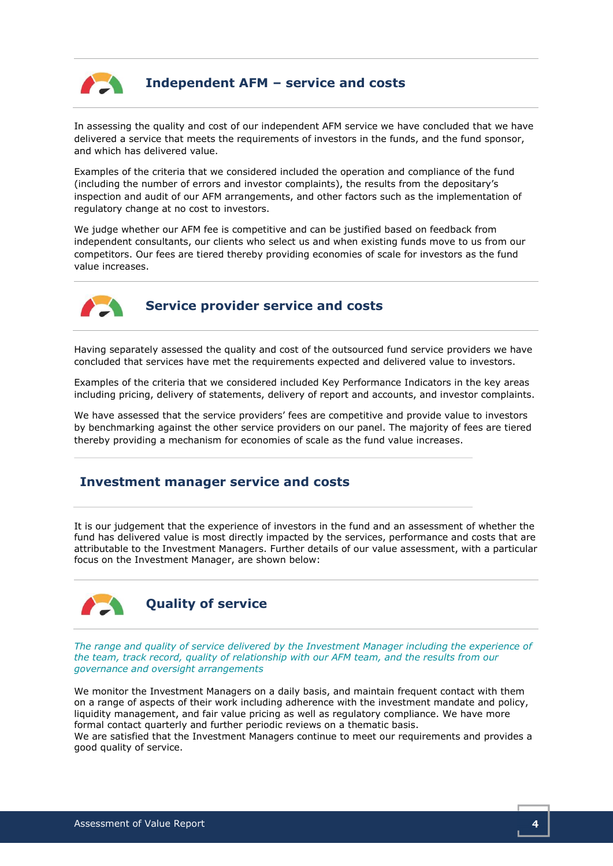

## Independent AFM – service and costs

In assessing the quality and cost of our independent AFM service we have concluded that we have delivered a service that meets the requirements of investors in the funds, and the fund sponsor, and which has delivered value.

Examples of the criteria that we considered included the operation and compliance of the fund (including the number of errors and investor complaints), the results from the depositary's inspection and audit of our AFM arrangements, and other factors such as the implementation of regulatory change at no cost to investors.

We judge whether our AFM fee is competitive and can be justified based on feedback from independent consultants, our clients who select us and when existing funds move to us from our competitors. Our fees are tiered thereby providing economies of scale for investors as the fund value increases.



## Service provider service and costs

Having separately assessed the quality and cost of the outsourced fund service providers we have concluded that services have met the requirements expected and delivered value to investors.

Examples of the criteria that we considered included Key Performance Indicators in the key areas including pricing, delivery of statements, delivery of report and accounts, and investor complaints.

We have assessed that the service providers' fees are competitive and provide value to investors by benchmarking against the other service providers on our panel. The majority of fees are tiered thereby providing a mechanism for economies of scale as the fund value increases.

#### Investment manager service and costs

It is our judgement that the experience of investors in the fund and an assessment of whether the fund has delivered value is most directly impacted by the services, performance and costs that are attributable to the Investment Managers. Further details of our value assessment, with a particular focus on the Investment Manager, are shown below:



The range and quality of service delivered by the Investment Manager including the experience of the team, track record, quality of relationship with our AFM team, and the results from our governance and oversight arrangements

We monitor the Investment Managers on a daily basis, and maintain frequent contact with them on a range of aspects of their work including adherence with the investment mandate and policy, liquidity management, and fair value pricing as well as regulatory compliance. We have more formal contact quarterly and further periodic reviews on a thematic basis.

We are satisfied that the Investment Managers continue to meet our requirements and provides a good quality of service.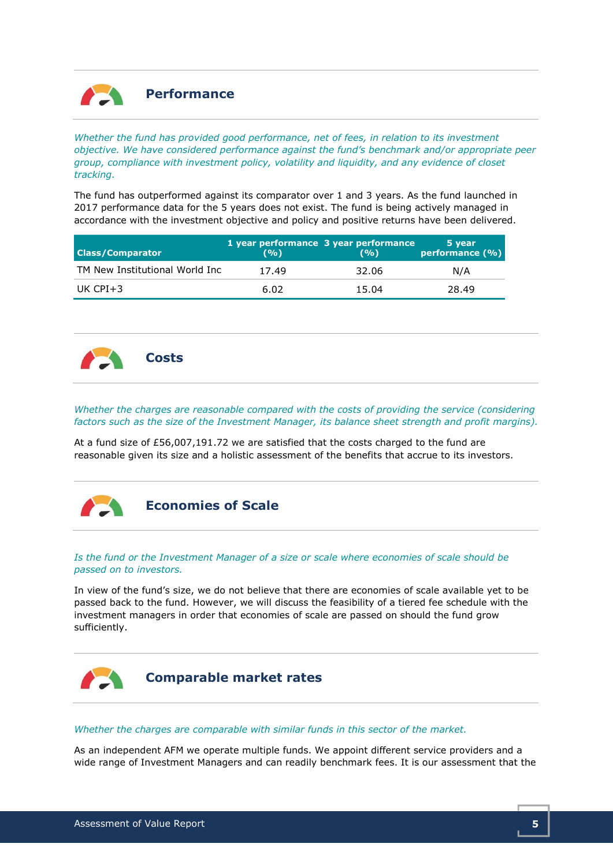

Whether the fund has provided good performance, net of fees, in relation to its investment objective. We have considered performance against the fund's benchmark and/or appropriate peer group, compliance with investment policy, volatility and liquidity, and any evidence of closet tracking.

The fund has outperformed against its comparator over 1 and 3 years. As the fund launched in 2017 performance data for the 5 years does not exist. The fund is being actively managed in accordance with the investment objective and policy and positive returns have been delivered.

| <b>Class/Comparator</b>        | (9/0) | 1 year performance 3 year performance<br>(9/0) | 5 year<br>performance (%) |
|--------------------------------|-------|------------------------------------------------|---------------------------|
| TM New Institutional World Inc | 17.49 | 32.06                                          | N/A                       |
| UK CPI $+3$                    | 6.02  | 15.04                                          | 28.49                     |



Whether the charges are reasonable compared with the costs of providing the service (considering factors such as the size of the Investment Manager, its balance sheet strength and profit margins).

At a fund size of £56,007,191.72 we are satisfied that the costs charged to the fund are reasonable given its size and a holistic assessment of the benefits that accrue to its investors.



Economies of Scale

#### Is the fund or the Investment Manager of a size or scale where economies of scale should be passed on to investors.

In view of the fund's size, we do not believe that there are economies of scale available yet to be passed back to the fund. However, we will discuss the feasibility of a tiered fee schedule with the investment managers in order that economies of scale are passed on should the fund grow sufficiently.



#### Whether the charges are comparable with similar funds in this sector of the market.

As an independent AFM we operate multiple funds. We appoint different service providers and a wide range of Investment Managers and can readily benchmark fees. It is our assessment that the